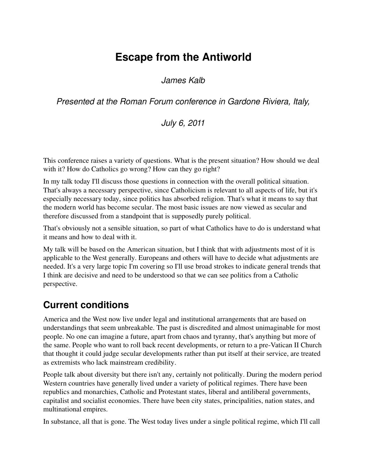# **Escape from the Antiworld**

*James Kalb*

*Presented at the Roman Forum conference in Gardone Riviera, Italy,*

*July 6, 2011*

This conference raises a variety of questions. What is the present situation? How should we deal with it? How do Catholics go wrong? How can they go right?

In my talk today I'll discuss those questions in connection with the overall political situation. That's always a necessary perspective, since Catholicism is relevant to all aspects of life, but it's especially necessary today, since politics has absorbed religion. That's what it means to say that the modern world has become secular. The most basic issues are now viewed as secular and therefore discussed from a standpoint that is supposedly purely political.

That's obviously not a sensible situation, so part of what Catholics have to do is understand what it means and how to deal with it.

My talk will be based on the American situation, but I think that with adjustments most of it is applicable to the West generally. Europeans and others will have to decide what adjustments are needed. It's a very large topic I'm covering so I'll use broad strokes to indicate general trends that I think are decisive and need to be understood so that we can see politics from a Catholic perspective.

# **Current conditions**

America and the West now live under legal and institutional arrangements that are based on understandings that seem unbreakable. The past is discredited and almost unimaginable for most people. No one can imagine a future, apart from chaos and tyranny, that's anything but more of the same. People who want to roll back recent developments, or return to a pre-Vatican II Church that thought it could judge secular developments rather than put itself at their service, are treated as extremists who lack mainstream credibility.

People talk about diversity but there isn't any, certainly not politically. During the modern period Western countries have generally lived under a variety of political regimes. There have been republics and monarchies, Catholic and Protestant states, liberal and antiliberal governments, capitalist and socialist economies. There have been city states, principalities, nation states, and multinational empires.

In substance, all that is gone. The West today lives under a single political regime, which I'll call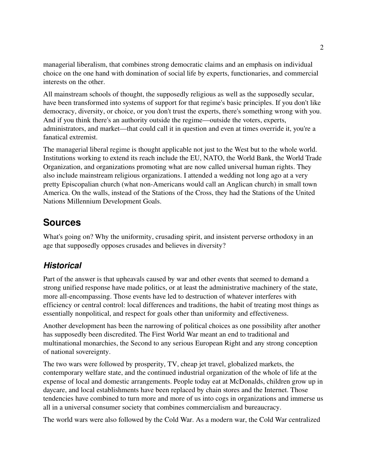managerial liberalism, that combines strong democratic claims and an emphasis on individual choice on the one hand with domination of social life by experts, functionaries, and commercial interests on the other.

All mainstream schools of thought, the supposedly religious as well as the supposedly secular, have been transformed into systems of support for that regime's basic principles. If you don't like democracy, diversity, or choice, or you don't trust the experts, there's something wrong with you. And if you think there's an authority outside the regime—outside the voters, experts, administrators, and market—that could call it in question and even at times override it, you're a fanatical extremist.

The managerial liberal regime is thought applicable not just to the West but to the whole world. Institutions working to extend its reach include the EU, NATO, the World Bank, the World Trade Organization, and organizations promoting what are now called universal human rights. They also include mainstream religious organizations. I attended a wedding not long ago at a very pretty Episcopalian church (what non-Americans would call an Anglican church) in small town America. On the walls, instead of the Stations of the Cross, they had the Stations of the United Nations Millennium Development Goals.

### **Sources**

What's going on? Why the uniformity, crusading spirit, and insistent perverse orthodoxy in an age that supposedly opposes crusades and believes in diversity?

### *Historical*

Part of the answer is that upheavals caused by war and other events that seemed to demand a strong unified response have made politics, or at least the administrative machinery of the state, more all-encompassing. Those events have led to destruction of whatever interferes with efficiency or central control: local differences and traditions, the habit of treating most things as essentially nonpolitical, and respect for goals other than uniformity and effectiveness.

Another development has been the narrowing of political choices as one possibility after another has supposedly been discredited. The First World War meant an end to traditional and multinational monarchies, the Second to any serious European Right and any strong conception of national sovereignty.

The two wars were followed by prosperity, TV, cheap jet travel, globalized markets, the contemporary welfare state, and the continued industrial organization of the whole of life at the expense of local and domestic arrangements. People today eat at McDonalds, children grow up in daycare, and local establishments have been replaced by chain stores and the Internet. Those tendencies have combined to turn more and more of us into cogs in organizations and immerse us all in a universal consumer society that combines commercialism and bureaucracy.

The world wars were also followed by the Cold War. As a modern war, the Cold War centralized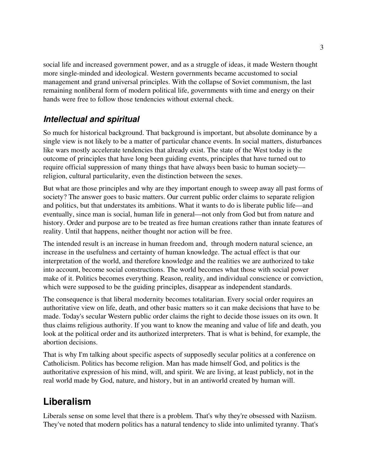social life and increased government power, and as a struggle of ideas, it made Western thought more single-minded and ideological. Western governments became accustomed to social management and grand universal principles. With the collapse of Soviet communism, the last remaining nonliberal form of modern political life, governments with time and energy on their hands were free to follow those tendencies without external check.

### *Intellectual and spiritual*

So much for historical background. That background is important, but absolute dominance by a single view is not likely to be a matter of particular chance events. In social matters, disturbances like wars mostly accelerate tendencies that already exist. The state of the West today is the outcome of principles that have long been guiding events, principles that have turned out to require official suppression of many things that have always been basic to human society religion, cultural particularity, even the distinction between the sexes.

But what are those principles and why are they important enough to sweep away all past forms of society? The answer goes to basic matters. Our current public order claims to separate religion and politics, but that understates its ambitions. What it wants to do is liberate public life—and eventually, since man is social, human life in general—not only from God but from nature and history. Order and purpose are to be treated as free human creations rather than innate features of reality. Until that happens, neither thought nor action will be free.

The intended result is an increase in human freedom and, through modern natural science, an increase in the usefulness and certainty of human knowledge. The actual effect is that our interpretation of the world, and therefore knowledge and the realities we are authorized to take into account, become social constructions. The world becomes what those with social power make of it. Politics becomes everything. Reason, reality, and individual conscience or conviction, which were supposed to be the guiding principles, disappear as independent standards.

The consequence is that liberal modernity becomes totalitarian. Every social order requires an authoritative view on life, death, and other basic matters so it can make decisions that have to be made. Today's secular Western public order claims the right to decide those issues on its own. It thus claims religious authority. If you want to know the meaning and value of life and death, you look at the political order and its authorized interpreters. That is what is behind, for example, the abortion decisions.

That is why I'm talking about specific aspects of supposedly secular politics at a conference on Catholicism. Politics has become religion. Man has made himself God, and politics is the authoritative expression of his mind, will, and spirit. We are living, at least publicly, not in the real world made by God, nature, and history, but in an antiworld created by human will.

# **Liberalism**

Liberals sense on some level that there is a problem. That's why they're obsessed with Naziism. They've noted that modern politics has a natural tendency to slide into unlimited tyranny. That's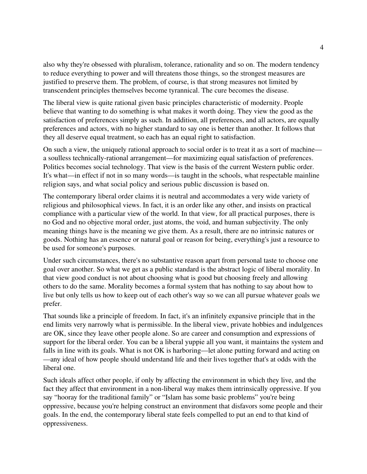also why they're obsessed with pluralism, tolerance, rationality and so on. The modern tendency to reduce everything to power and will threatens those things, so the strongest measures are justified to preserve them. The problem, of course, is that strong measures not limited by transcendent principles themselves become tyrannical. The cure becomes the disease.

The liberal view is quite rational given basic principles characteristic of modernity. People believe that wanting to do something is what makes it worth doing. They view the good as the satisfaction of preferences simply as such. In addition, all preferences, and all actors, are equally preferences and actors, with no higher standard to say one is better than another. It follows that they all deserve equal treatment, so each has an equal right to satisfaction.

On such a view, the uniquely rational approach to social order is to treat it as a sort of machine a soulless technically-rational arrangement—for maximizing equal satisfaction of preferences. Politics becomes social technology. That view is the basis of the current Western public order. It's what—in effect if not in so many words—is taught in the schools, what respectable mainline religion says, and what social policy and serious public discussion is based on.

The contemporary liberal order claims it is neutral and accommodates a very wide variety of religious and philosophical views. In fact, it is an order like any other, and insists on practical compliance with a particular view of the world. In that view, for all practical purposes, there is no God and no objective moral order, just atoms, the void, and human subjectivity. The only meaning things have is the meaning we give them. As a result, there are no intrinsic natures or goods. Nothing has an essence or natural goal or reason for being, everything's just a resource to be used for someone's purposes.

Under such circumstances, there's no substantive reason apart from personal taste to choose one goal over another. So what we get as a public standard is the abstract logic of liberal morality. In that view good conduct is not about choosing what is good but choosing freely and allowing others to do the same. Morality becomes a formal system that has nothing to say about how to live but only tells us how to keep out of each other's way so we can all pursue whatever goals we prefer.

That sounds like a principle of freedom. In fact, it's an infinitely expansive principle that in the end limits very narrowly what is permissible. In the liberal view, private hobbies and indulgences are OK, since they leave other people alone. So are career and consumption and expressions of support for the liberal order. You can be a liberal yuppie all you want, it maintains the system and falls in line with its goals. What is not OK is harboring—let alone putting forward and acting on —any ideal of how people should understand life and their lives together that's at odds with the liberal one.

Such ideals affect other people, if only by affecting the environment in which they live, and the fact they affect that environment in a non-liberal way makes them intrinsically oppressive. If you say "hooray for the traditional family" or "Islam has some basic problems" you're being oppressive, because you're helping construct an environment that disfavors some people and their goals. In the end, the contemporary liberal state feels compelled to put an end to that kind of oppressiveness.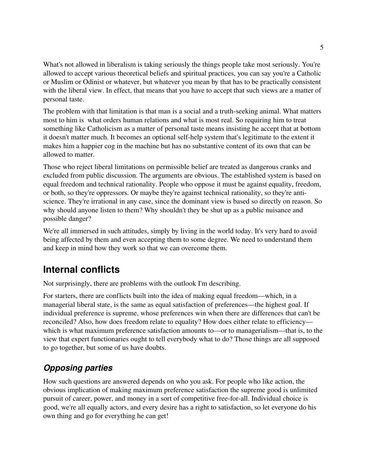What's not allowed in liberalism is taking seriously the things people take most seriously. You're allowed to accept various theoretical beliefs and spiritual practices, you can say you're a Catholic or Muslim or Odinist or whatever, but whatever you mean by that has to be practically consistent with the liberal view. In effect, that means that you have to accept that such views are a matter of personal taste.

The problem with that limitation is that man is a social and a truth-seeking animal. What matters most to him is what orders human relations and what is most real. So requiring him to treat something like Catholicism as a matter of personal taste means insisting he accept that at bottom it doesn't matter much. It becomes an optional self-help system that's legitimate to the extent it makes him a happier cog in the machine but has no substantive content of its own that can be allowed to matter.

Those who reject liberal limitations on permissible belief are treated as dangerous cranks and excluded from public discussion. The arguments are obvious. The established system is based on equal freedom and technical rationality. People who oppose it must be against equality, freedom, or both, so they're oppressors. Or maybe they're against technical rationality, so they're antiscience. They're irrational in any case, since the dominant view is based so directly on reason. So why should anyone listen to them? Why shouldn't they be shut up as a public nuisance and possible danger?

We're all immersed in such attitudes, simply by living in the world today. It's very hard to avoid being affected by them and even accepting them to some degree. We need to understand them and keep in mind how they work so that we can overcome them.

# **Internal conflicts**

Not surprisingly, there are problems with the outlook I'm describing.

For starters, there are conflicts built into the idea of making equal freedom—which, in a managerial liberal state, is the same as equal satisfaction of preferences—the highest goal. If individual preference is supreme, whose preferences win when there are differences that can't be reconciled? Also, how does freedom relate to equality? How does either relate to efficiency which is what maximum preference satisfaction amounts to—or to managerialism—that is, to the view that expert functionaries ought to tell everybody what to do? Those things are all supposed to go together, but some of us have doubts.

# *Opposing parties*

How such questions are answered depends on who you ask. For people who like action, the obvious implication of making maximum preference satisfaction the supreme good is unlimited pursuit of career, power, and money in a sort of competitive free-for-all. Individual choice is good, we're all equally actors, and every desire has a right to satisfaction, so let everyone do his own thing and go for everything he can get!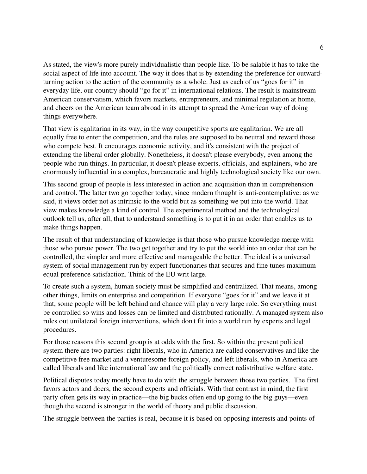As stated, the view's more purely individualistic than people like. To be salable it has to take the social aspect of life into account. The way it does that is by extending the preference for outwardturning action to the action of the community as a whole. Just as each of us "goes for it" in everyday life, our country should "go for it" in international relations. The result is mainstream American conservatism, which favors markets, entrepreneurs, and minimal regulation at home, and cheers on the American team abroad in its attempt to spread the American way of doing things everywhere.

That view is egalitarian in its way, in the way competitive sports are egalitarian. We are all equally free to enter the competition, and the rules are supposed to be neutral and reward those who compete best. It encourages economic activity, and it's consistent with the project of extending the liberal order globally. Nonetheless, it doesn't please everybody, even among the people who run things. In particular, it doesn't please experts, officials, and explainers, who are enormously influential in a complex, bureaucratic and highly technological society like our own.

This second group of people is less interested in action and acquisition than in comprehension and control. The latter two go together today, since modern thought is anti-contemplative: as we said, it views order not as intrinsic to the world but as something we put into the world. That view makes knowledge a kind of control. The experimental method and the technological outlook tell us, after all, that to understand something is to put it in an order that enables us to make things happen.

The result of that understanding of knowledge is that those who pursue knowledge merge with those who pursue power. The two get together and try to put the world into an order that can be controlled, the simpler and more effective and manageable the better. The ideal is a universal system of social management run by expert functionaries that secures and fine tunes maximum equal preference satisfaction. Think of the EU writ large.

To create such a system, human society must be simplified and centralized. That means, among other things, limits on enterprise and competition. If everyone "goes for it" and we leave it at that, some people will be left behind and chance will play a very large role. So everything must be controlled so wins and losses can be limited and distributed rationally. A managed system also rules out unilateral foreign interventions, which don't fit into a world run by experts and legal procedures.

For those reasons this second group is at odds with the first. So within the present political system there are two parties: right liberals, who in America are called conservatives and like the competitive free market and a venturesome foreign policy, and left liberals, who in America are called liberals and like international law and the politically correct redistributive welfare state.

Political disputes today mostly have to do with the struggle between those two parties. The first favors actors and doers, the second experts and officials. With that contrast in mind, the first party often gets its way in practice—the big bucks often end up going to the big guys—even though the second is stronger in the world of theory and public discussion.

The struggle between the parties is real, because it is based on opposing interests and points of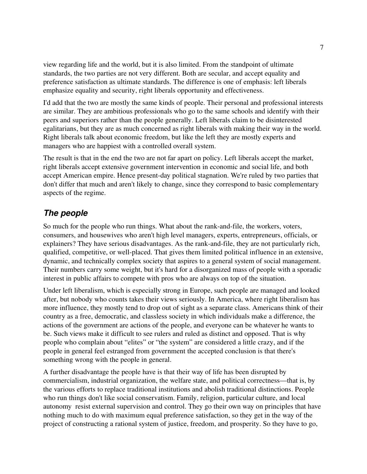view regarding life and the world, but it is also limited. From the standpoint of ultimate standards, the two parties are not very different. Both are secular, and accept equality and preference satisfaction as ultimate standards. The difference is one of emphasis: left liberals emphasize equality and security, right liberals opportunity and effectiveness.

I'd add that the two are mostly the same kinds of people. Their personal and professional interests are similar. They are ambitious professionals who go to the same schools and identify with their peers and superiors rather than the people generally. Left liberals claim to be disinterested egalitarians, but they are as much concerned as right liberals with making their way in the world. Right liberals talk about economic freedom, but like the left they are mostly experts and managers who are happiest with a controlled overall system.

The result is that in the end the two are not far apart on policy. Left liberals accept the market, right liberals accept extensive government intervention in economic and social life, and both accept American empire. Hence present-day political stagnation. We're ruled by two parties that don't differ that much and aren't likely to change, since they correspond to basic complementary aspects of the regime.

#### *The people*

So much for the people who run things. What about the rank-and-file, the workers, voters, consumers, and housewives who aren't high level managers, experts, entrepreneurs, officials, or explainers? They have serious disadvantages. As the rank-and-file, they are not particularly rich, qualified, competitive, or well-placed. That gives them limited political influence in an extensive, dynamic, and technically complex society that aspires to a general system of social management. Their numbers carry some weight, but it's hard for a disorganized mass of people with a sporadic interest in public affairs to compete with pros who are always on top of the situation.

Under left liberalism, which is especially strong in Europe, such people are managed and looked after, but nobody who counts takes their views seriously. In America, where right liberalism has more influence, they mostly tend to drop out of sight as a separate class. Americans think of their country as a free, democratic, and classless society in which individuals make a difference, the actions of the government are actions of the people, and everyone can be whatever he wants to be. Such views make it difficult to see rulers and ruled as distinct and opposed. That is why people who complain about "elites" or "the system" are considered a little crazy, and if the people in general feel estranged from government the accepted conclusion is that there's something wrong with the people in general.

A further disadvantage the people have is that their way of life has been disrupted by commercialism, industrial organization, the welfare state, and political correctness—that is, by the various efforts to replace traditional institutions and abolish traditional distinctions. People who run things don't like social conservatism. Family, religion, particular culture, and local autonomy resist external supervision and control. They go their own way on principles that have nothing much to do with maximum equal preference satisfaction, so they get in the way of the project of constructing a rational system of justice, freedom, and prosperity. So they have to go,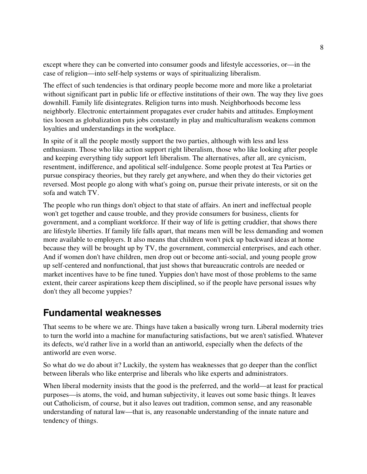except where they can be converted into consumer goods and lifestyle accessories, or—in the case of religion—into self-help systems or ways of spiritualizing liberalism.

The effect of such tendencies is that ordinary people become more and more like a proletariat without significant part in public life or effective institutions of their own. The way they live goes downhill. Family life disintegrates. Religion turns into mush. Neighborhoods become less neighborly. Electronic entertainment propagates ever cruder habits and attitudes. Employment ties loosen as globalization puts jobs constantly in play and multiculturalism weakens common loyalties and understandings in the workplace.

In spite of it all the people mostly support the two parties, although with less and less enthusiasm. Those who like action support right liberalism, those who like looking after people and keeping everything tidy support left liberalism. The alternatives, after all, are cynicism, resentment, indifference, and apolitical self-indulgence. Some people protest at Tea Parties or pursue conspiracy theories, but they rarely get anywhere, and when they do their victories get reversed. Most people go along with what's going on, pursue their private interests, or sit on the sofa and watch TV.

The people who run things don't object to that state of affairs. An inert and ineffectual people won't get together and cause trouble, and they provide consumers for business, clients for government, and a compliant workforce. If their way of life is getting cruddier, that shows there are lifestyle liberties. If family life falls apart, that means men will be less demanding and women more available to employers. It also means that children won't pick up backward ideas at home because they will be brought up by TV, the government, commercial enterprises, and each other. And if women don't have children, men drop out or become anti-social, and young people grow up self-centered and nonfunctional, that just shows that bureaucratic controls are needed or market incentives have to be fine tuned. Yuppies don't have most of those problems to the same extent, their career aspirations keep them disciplined, so if the people have personal issues why don't they all become yuppies?

### **Fundamental weaknesses**

That seems to be where we are. Things have taken a basically wrong turn. Liberal modernity tries to turn the world into a machine for manufacturing satisfactions, but we aren't satisfied. Whatever its defects, we'd rather live in a world than an antiworld, especially when the defects of the antiworld are even worse.

So what do we do about it? Luckily, the system has weaknesses that go deeper than the conflict between liberals who like enterprise and liberals who like experts and administrators.

When liberal modernity insists that the good is the preferred, and the world—at least for practical purposes—is atoms, the void, and human subjectivity, it leaves out some basic things. It leaves out Catholicism, of course, but it also leaves out tradition, common sense, and any reasonable understanding of natural law—that is, any reasonable understanding of the innate nature and tendency of things.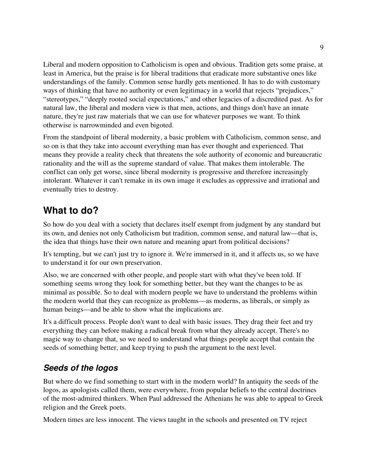Liberal and modern opposition to Catholicism is open and obvious. Tradition gets some praise, at least in America, but the praise is for liberal traditions that eradicate more substantive ones like understandings of the family. Common sense hardly gets mentioned. It has to do with customary ways of thinking that have no authority or even legitimacy in a world that rejects "prejudices," "stereotypes," "deeply rooted social expectations," and other legacies of a discredited past. As for natural law, the liberal and modern view is that men, actions, and things don't have an innate nature, they're just raw materials that we can use for whatever purposes we want. To think otherwise is narrowminded and even bigoted.

From the standpoint of liberal modernity, a basic problem with Catholicism, common sense, and so on is that they take into account everything man has ever thought and experienced. That means they provide a reality check that threatens the sole authority of economic and bureaucratic rationality and the will as the supreme standard of value. That makes them intolerable. The conflict can only get worse, since liberal modernity is progressive and therefore increasingly intolerant. Whatever it can't remake in its own image it excludes as oppressive and irrational and eventually tries to destroy.

### **What to do?**

So how do you deal with a society that declares itself exempt from judgment by any standard but its own, and denies not only Catholicism but tradition, common sense, and natural law—that is, the idea that things have their own nature and meaning apart from political decisions?

It's tempting, but we can't just try to ignore it. We're immersed in it, and it affects us, so we have to understand it for our own preservation.

Also, we are concerned with other people, and people start with what they've been told. If something seems wrong they look for something better, but they want the changes to be as minimal as possible. So to deal with modern people we have to understand the problems within the modern world that they can recognize as problems—as moderns, as liberals, or simply as human beings—and be able to show what the implications are.

It's a difficult process. People don't want to deal with basic issues. They drag their feet and try everything they can before making a radical break from what they already accept. There's no magic way to change that, so we need to understand what things people accept that contain the seeds of something better, and keep trying to push the argument to the next level.

### *Seeds of the logos*

But where do we find something to start with in the modern world? In antiquity the seeds of the logos, as apologists called them, were everywhere, from popular beliefs to the central doctrines of the mostadmired thinkers. When Paul addressed the Athenians he was able to appeal to Greek religion and the Greek poets.

Modern times are less innocent. The views taught in the schools and presented on TV reject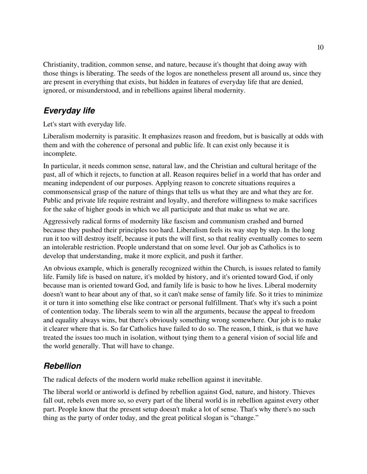Christianity, tradition, common sense, and nature, because it's thought that doing away with those things is liberating. The seeds of the logos are nonetheless present all around us, since they are present in everything that exists, but hidden in features of everyday life that are denied, ignored, or misunderstood, and in rebellions against liberal modernity.

#### *Everyday life*

Let's start with everyday life.

Liberalism modernity is parasitic. It emphasizes reason and freedom, but is basically at odds with them and with the coherence of personal and public life. It can exist only because it is incomplete.

In particular, it needs common sense, natural law, and the Christian and cultural heritage of the past, all of which it rejects, to function at all. Reason requires belief in a world that has order and meaning independent of our purposes. Applying reason to concrete situations requires a commonsensical grasp of the nature of things that tells us what they are and what they are for. Public and private life require restraint and loyalty, and therefore willingness to make sacrifices for the sake of higher goods in which we all participate and that make us what we are.

Aggressively radical forms of modernity like fascism and communism crashed and burned because they pushed their principles too hard. Liberalism feels its way step by step. In the long run it too will destroy itself, because it puts the will first, so that reality eventually comes to seem an intolerable restriction. People understand that on some level. Our job as Catholics is to develop that understanding, make it more explicit, and push it farther.

An obvious example, which is generally recognized within the Church, is issues related to family life. Family life is based on nature, it's molded by history, and it's oriented toward God, if only because man is oriented toward God, and family life is basic to how he lives. Liberal modernity doesn't want to hear about any of that, so it can't make sense of family life. So it tries to minimize it or turn it into something else like contract or personal fulfillment. That's why it's such a point of contention today. The liberals seem to win all the arguments, because the appeal to freedom and equality always wins, but there's obviously something wrong somewhere. Our job is to make it clearer where that is. So far Catholics have failed to do so. The reason, I think, is that we have treated the issues too much in isolation, without tying them to a general vision of social life and the world generally. That will have to change.

#### *Rebellion*

The radical defects of the modern world make rebellion against it inevitable.

The liberal world or antiworld is defined by rebellion against God, nature, and history. Thieves fall out, rebels even more so, so every part of the liberal world is in rebellion against every other part. People know that the present setup doesn't make a lot of sense. That's why there's no such thing as the party of order today, and the great political slogan is "change."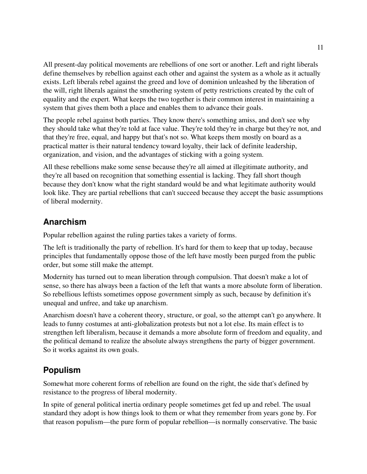All present-day political movements are rebellions of one sort or another. Left and right liberals define themselves by rebellion against each other and against the system as a whole as it actually exists. Left liberals rebel against the greed and love of dominion unleashed by the liberation of the will, right liberals against the smothering system of petty restrictions created by the cult of equality and the expert. What keeps the two together is their common interest in maintaining a system that gives them both a place and enables them to advance their goals.

The people rebel against both parties. They know there's something amiss, and don't see why they should take what they're told at face value. They're told they're in charge but they're not, and that they're free, equal, and happy but that's not so. What keeps them mostly on board as a practical matter is their natural tendency toward loyalty, their lack of definite leadership, organization, and vision, and the advantages of sticking with a going system.

All these rebellions make some sense because they're all aimed at illegitimate authority, and they're all based on recognition that something essential is lacking. They fall short though because they don't know what the right standard would be and what legitimate authority would look like. They are partial rebellions that can't succeed because they accept the basic assumptions of liberal modernity.

#### **Anarchism**

Popular rebellion against the ruling parties takes a variety of forms.

The left is traditionally the party of rebellion. It's hard for them to keep that up today, because principles that fundamentally oppose those of the left have mostly been purged from the public order, but some still make the attempt.

Modernity has turned out to mean liberation through compulsion. That doesn't make a lot of sense, so there has always been a faction of the left that wants a more absolute form of liberation. So rebellious leftists sometimes oppose government simply as such, because by definition it's unequal and unfree, and take up anarchism.

Anarchism doesn't have a coherent theory, structure, or goal, so the attempt can't go anywhere. It leads to funny costumes at anti-globalization protests but not a lot else. Its main effect is to strengthen left liberalism, because it demands a more absolute form of freedom and equality, and the political demand to realize the absolute always strengthens the party of bigger government. So it works against its own goals.

### **Populism**

Somewhat more coherent forms of rebellion are found on the right, the side that's defined by resistance to the progress of liberal modernity.

In spite of general political inertia ordinary people sometimes get fed up and rebel. The usual standard they adopt is how things look to them or what they remember from years gone by. For that reason populism—the pure form of popular rebellion—is normally conservative. The basic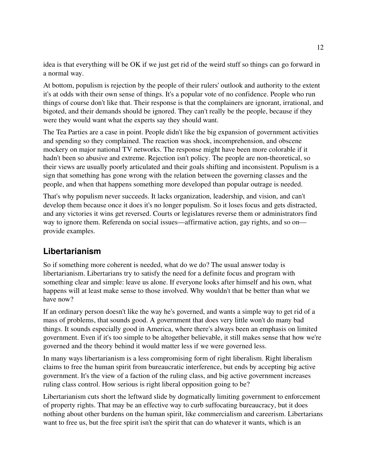idea is that everything will be OK if we just get rid of the weird stuff so things can go forward in a normal way.

At bottom, populism is rejection by the people of their rulers' outlook and authority to the extent it's at odds with their own sense of things. It's a popular vote of no confidence. People who run things of course don't like that. Their response is that the complainers are ignorant, irrational, and bigoted, and their demands should be ignored. They can't really be the people, because if they were they would want what the experts say they should want.

The Tea Parties are a case in point. People didn't like the big expansion of government activities and spending so they complained. The reaction was shock, incomprehension, and obscene mockery on major national TV networks. The response might have been more colorable if it hadn't been so abusive and extreme. Rejection isn't policy. The people are non-theoretical, so their views are usually poorly articulated and their goals shifting and inconsistent. Populism is a sign that something has gone wrong with the relation between the governing classes and the people, and when that happens something more developed than popular outrage is needed.

That's why populism never succeeds. It lacks organization, leadership, and vision, and can't develop them because once it does it's no longer populism. So it loses focus and gets distracted, and any victories it wins get reversed. Courts or legislatures reverse them or administrators find way to ignore them. Referenda on social issues—affirmative action, gay rights, and so on provide examples.

#### **Libertarianism**

So if something more coherent is needed, what do we do? The usual answer today is libertarianism. Libertarians try to satisfy the need for a definite focus and program with something clear and simple: leave us alone. If everyone looks after himself and his own, what happens will at least make sense to those involved. Why wouldn't that be better than what we have now?

If an ordinary person doesn't like the way he's governed, and wants a simple way to get rid of a mass of problems, that sounds good. A government that does very little won't do many bad things. It sounds especially good in America, where there's always been an emphasis on limited government. Even if it's too simple to be altogether believable, it still makes sense that how we're governed and the theory behind it would matter less if we were governed less.

In many ways libertarianism is a less compromising form of right liberalism. Right liberalism claims to free the human spirit from bureaucratic interference, but ends by accepting big active government. It's the view of a faction of the ruling class, and big active government increases ruling class control. How serious is right liberal opposition going to be?

Libertarianism cuts short the leftward slide by dogmatically limiting government to enforcement of property rights. That may be an effective way to curb suffocating bureaucracy, but it does nothing about other burdens on the human spirit, like commercialism and careerism. Libertarians want to free us, but the free spirit isn't the spirit that can do whatever it wants, which is an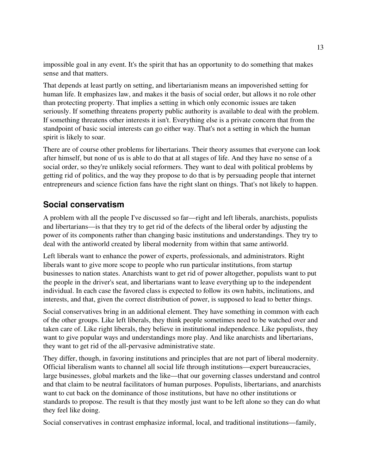impossible goal in any event. It's the spirit that has an opportunity to do something that makes sense and that matters.

That depends at least partly on setting, and libertarianism means an impoverished setting for human life. It emphasizes law, and makes it the basis of social order, but allows it no role other than protecting property. That implies a setting in which only economic issues are taken seriously. If something threatens property public authority is available to deal with the problem. If something threatens other interests it isn't. Everything else is a private concern that from the standpoint of basic social interests can go either way. That's not a setting in which the human spirit is likely to soar.

There are of course other problems for libertarians. Their theory assumes that everyone can look after himself, but none of us is able to do that at all stages of life. And they have no sense of a social order, so they're unlikely social reformers. They want to deal with political problems by getting rid of politics, and the way they propose to do that is by persuading people that internet entrepreneurs and science fiction fans have the right slant on things. That's not likely to happen.

#### **Social conservatism**

A problem with all the people I've discussed so far—right and left liberals, anarchists, populists and libertarians—is that they try to get rid of the defects of the liberal order by adjusting the power of its components rather than changing basic institutions and understandings. They try to deal with the antiworld created by liberal modernity from within that same antiworld.

Left liberals want to enhance the power of experts, professionals, and administrators. Right liberals want to give more scope to people who run particular institutions, from startup businesses to nation states. Anarchists want to get rid of power altogether, populists want to put the people in the driver's seat, and libertarians want to leave everything up to the independent individual. In each case the favored class is expected to follow its own habits, inclinations, and interests, and that, given the correct distribution of power, is supposed to lead to better things.

Social conservatives bring in an additional element. They have something in common with each of the other groups. Like left liberals, they think people sometimes need to be watched over and taken care of. Like right liberals, they believe in institutional independence. Like populists, they want to give popular ways and understandings more play. And like anarchists and libertarians, they want to get rid of the all-pervasive administrative state.

They differ, though, in favoring institutions and principles that are not part of liberal modernity. Official liberalism wants to channel all social life through institutions—expert bureaucracies, large businesses, global markets and the like—that our governing classes understand and control and that claim to be neutral facilitators of human purposes. Populists, libertarians, and anarchists want to cut back on the dominance of those institutions, but have no other institutions or standards to propose. The result is that they mostly just want to be left alone so they can do what they feel like doing.

Social conservatives in contrast emphasize informal, local, and traditional institutions—family,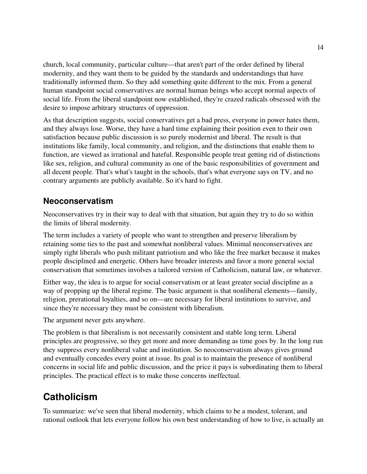church, local community, particular culture—that aren't part of the order defined by liberal modernity, and they want them to be guided by the standards and understandings that have traditionally informed them. So they add something quite different to the mix. From a general human standpoint social conservatives are normal human beings who accept normal aspects of social life. From the liberal standpoint now established, they're crazed radicals obsessed with the desire to impose arbitrary structures of oppression.

As that description suggests, social conservatives get a bad press, everyone in power hates them, and they always lose. Worse, they have a hard time explaining their position even to their own satisfaction because public discussion is so purely modernist and liberal. The result is that institutions like family, local community, and religion, and the distinctions that enable them to function, are viewed as irrational and hateful. Responsible people treat getting rid of distinctions like sex, religion, and cultural community as one of the basic responsibilities of government and all decent people. That's what's taught in the schools, that's what everyone says on TV, and no contrary arguments are publicly available. So it's hard to fight.

#### **Neoconservatism**

Neoconservatives try in their way to deal with that situation, but again they try to do so within the limits of liberal modernity.

The term includes a variety of people who want to strengthen and preserve liberalism by retaining some ties to the past and somewhat nonliberal values. Minimal neoconservatives are simply right liberals who push militant patriotism and who like the free market because it makes people disciplined and energetic. Others have broader interests and favor a more general social conservatism that sometimes involves a tailored version of Catholicism, natural law, or whatever.

Either way, the idea is to argue for social conservatism or at least greater social discipline as a way of propping up the liberal regime. The basic argument is that nonliberal elements—family, religion, prerational loyalties, and so on—are necessary for liberal institutions to survive, and since they're necessary they must be consistent with liberalism.

The argument never gets anywhere.

The problem is that liberalism is not necessarily consistent and stable long term. Liberal principles are progressive, so they get more and more demanding as time goes by. In the long run they suppress every nonliberal value and institution. So neoconservatism always gives ground and eventually concedes every point at issue. Its goal is to maintain the presence of nonliberal concerns in social life and public discussion, and the price it pays is subordinating them to liberal principles. The practical effect is to make those concerns ineffectual.

### **Catholicism**

To summarize: we've seen that liberal modernity, which claims to be a modest, tolerant, and rational outlook that lets everyone follow his own best understanding of how to live, is actually an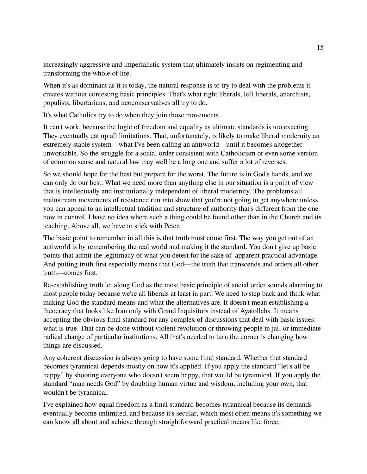increasingly aggressive and imperialistic system that ultimately insists on regimenting and transforming the whole of life.

When it's as dominant as it is today, the natural response is to try to deal with the problems it creates without contesting basic principles. That's what right liberals, left liberals, anarchists, populists, libertarians, and neoconservatives all try to do.

It's what Catholics try to do when they join those movements.

It can't work, because the logic of freedom and equality as ultimate standards is too exacting. They eventually eat up all limitations. That, unfortunately, is likely to make liberal modernity an extremely stable system—what I've been calling an antiworld—until it becomes altogether unworkable. So the struggle for a social order consistent with Catholicism or even some version of common sense and natural law may well be a long one and suffer a lot of reverses.

So we should hope for the best but prepare for the worst. The future is in God's hands, and we can only do our best. What we need more than anything else in our situation is a point of view that is intellectually and institutionally independent of liberal modernity. The problems all mainstream movements of resistance run into show that you're not going to get anywhere unless you can appeal to an intellectual tradition and structure of authority that's different from the one now in control. I have no idea where such a thing could be found other than in the Church and its teaching. Above all, we have to stick with Peter.

The basic point to remember in all this is that truth must come first. The way you get out of an antiworld is by remembering the real world and making it the standard. You don't give up basic points that admit the legitimacy of what you detest for the sake of apparent practical advantage. And putting truth first especially means that God—the truth that transcends and orders all other truth—comes first.

Re-establishing truth let along God as the most basic principle of social order sounds alarming to most people today because we're all liberals at least in part. We need to step back and think what making God the standard means and what the alternatives are. It doesn't mean establishing a theocracy that looks like Iran only with Grand Inquisitors instead of Ayatollahs. It means accepting the obvious final standard for any complex of discussions that deal with basic issues: what is true. That can be done without violent revolution or throwing people in jail or immediate radical change of particular institutions. All that's needed to turn the corner is changing how things are discussed.

Any coherent discussion is always going to have some final standard. Whether that standard becomes tyrannical depends mostly on how it's applied. If you apply the standard "let's all be happy" by shooting everyone who doesn't seem happy, that would be tyrannical. If you apply the standard "man needs God" by doubting human virtue and wisdom, including your own, that wouldn't be tyrannical.

I've explained how equal freedom as a final standard becomes tyrannical because its demands eventually become unlimited, and because it's secular, which most often means it's something we can know all about and achieve through straightforward practical means like force.